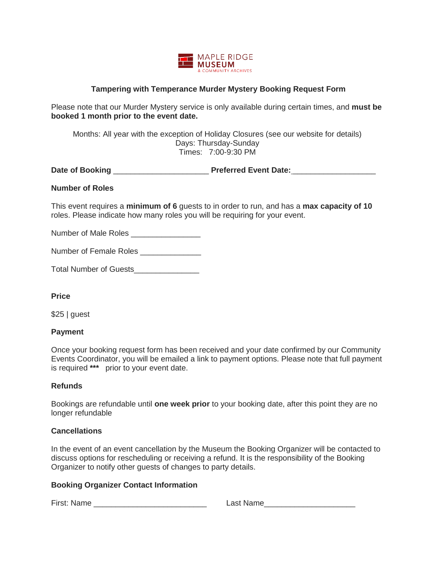

## **Tampering with Temperance Murder Mystery Booking Request Form**

Please note that our Murder Mystery service is only available during certain times, and **must be booked 1 month prior to the event date.** 

Months: All year with the exception of Holiday Closures (see our website for details) Days: Thursday-Sunday Times: 7:00-9:30 PM

**Date of Booking** \_\_\_\_\_\_\_\_\_\_\_\_\_\_\_\_\_\_\_\_\_\_ **Preferred Event Date:** \_\_\_\_\_\_\_\_\_\_\_\_\_\_\_\_\_\_\_

#### **Number of Roles**

This event requires a **minimum of 6** guests to in order to run, and has a **max capacity of 10** roles. Please indicate how many roles you will be requiring for your event.

Number of Male Roles

Number of Female Roles

Total Number of Guests\_\_\_\_\_\_\_\_\_\_\_\_\_\_\_

**Price** 

\$25 | guest

#### **Payment**

Once your booking request form has been received and your date confirmed by our Community Events Coordinator, you will be emailed a link to payment options. Please note that full payment is required **\*\*\*** prior to your event date.

### **Refunds**

Bookings are refundable until **one week prior** to your booking date, after this point they are no longer refundable

### **Cancellations**

In the event of an event cancellation by the Museum the Booking Organizer will be contacted to discuss options for rescheduling or receiving a refund. It is the responsibility of the Booking Organizer to notify other guests of changes to party details.

### **Booking Organizer Contact Information**

First: Name \_\_\_\_\_\_\_\_\_\_\_\_\_\_\_\_\_\_\_\_\_\_\_\_\_\_ Last Name\_\_\_\_\_\_\_\_\_\_\_\_\_\_\_\_\_\_\_\_\_